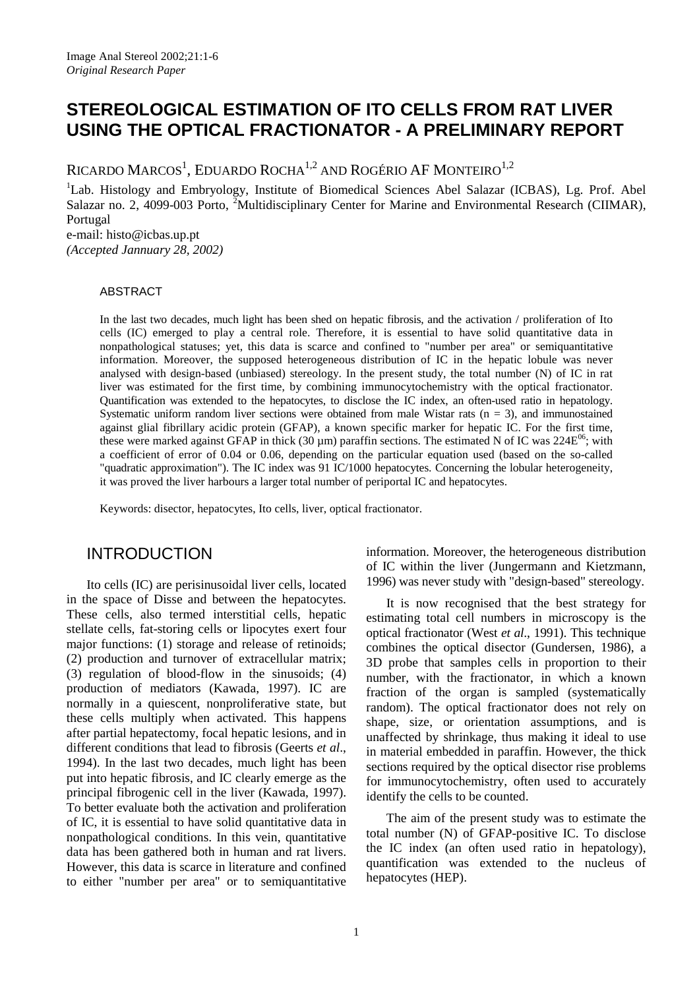# **STEREOLOGICAL ESTIMATION OF ITO CELLS FROM RAT LIVER USING THE OPTICAL FRACTIONATOR - A PRELIMINARY REPORT**

RICARDO MARCOS<sup>1</sup>, EDUARDO ROCHA<sup>1,2</sup> AND ROGÉRIO AF MONTEIRO<sup>1,2</sup>

<sup>1</sup>Lab. Histology and Embryology, Institute of Biomedical Sciences Abel Salazar (ICBAS), Lg. Prof. Abel Salazar no. 2, 4099-003 Porto, <sup>2</sup>Multidisciplinary Center for Marine and Environmental Research (CIIMAR), Portugal e-mail: histo@icbas.up.pt

*(Accepted Jannuary 28, 2002)*

#### ABSTRACT

In the last two decades, much light has been shed on hepatic fibrosis, and the activation / proliferation of Ito cells (IC) emerged to play a central role. Therefore, it is essential to have solid quantitative data in nonpathological statuses; yet, this data is scarce and confined to "number per area" or semiquantitative information. Moreover, the supposed heterogeneous distribution of IC in the hepatic lobule was never analysed with design-based (unbiased) stereology. In the present study, the total number (N) of IC in rat liver was estimated for the first time, by combining immunocytochemistry with the optical fractionator. Quantification was extended to the hepatocytes, to disclose the IC index, an often-used ratio in hepatology. Systematic uniform random liver sections were obtained from male Wistar rats  $(n = 3)$ , and immunostained against glial fibrillary acidic protein (GFAP), a known specific marker for hepatic IC. For the first time, these were marked against GFAP in thick (30  $\mu$ m) paraffin sections. The estimated N of IC was 224E<sup>06</sup>; with a coefficient of error of 0.04 or 0.06, depending on the particular equation used (based on the so-called "quadratic approximation"). The IC index was 91 IC/1000 hepatocytes. Concerning the lobular heterogeneity, it was proved the liver harbours a larger total number of periportal IC and hepatocytes.

Keywords: disector, hepatocytes, Ito cells, liver, optical fractionator.

## INTRODUCTION

Ito cells (IC) are perisinusoidal liver cells, located in the space of Disse and between the hepatocytes. These cells, also termed interstitial cells, hepatic stellate cells, fat-storing cells or lipocytes exert four major functions: (1) storage and release of retinoids; (2) production and turnover of extracellular matrix; (3) regulation of blood-flow in the sinusoids; (4) production of mediators (Kawada, 1997). IC are normally in a quiescent, nonproliferative state, but these cells multiply when activated. This happens after partial hepatectomy, focal hepatic lesions, and in different conditions that lead to fibrosis (Geerts *et al*., 1994). In the last two decades, much light has been put into hepatic fibrosis, and IC clearly emerge as the principal fibrogenic cell in the liver (Kawada, 1997). To better evaluate both the activation and proliferation of IC, it is essential to have solid quantitative data in nonpathological conditions. In this vein, quantitative data has been gathered both in human and rat livers. However, this data is scarce in literature and confined to either "number per area" or to semiquantitative information. Moreover, the heterogeneous distribution of IC within the liver (Jungermann and Kietzmann, 1996) was never study with "design-based" stereology.

It is now recognised that the best strategy for estimating total cell numbers in microscopy is the optical fractionator (West *et al*., 1991). This technique combines the optical disector (Gundersen, 1986), a 3D probe that samples cells in proportion to their number, with the fractionator, in which a known fraction of the organ is sampled (systematically random). The optical fractionator does not rely on shape, size, or orientation assumptions, and is unaffected by shrinkage, thus making it ideal to use in material embedded in paraffin. However, the thick sections required by the optical disector rise problems for immunocytochemistry, often used to accurately identify the cells to be counted.

The aim of the present study was to estimate the total number (N) of GFAP-positive IC. To disclose the IC index (an often used ratio in hepatology), quantification was extended to the nucleus of hepatocytes (HEP).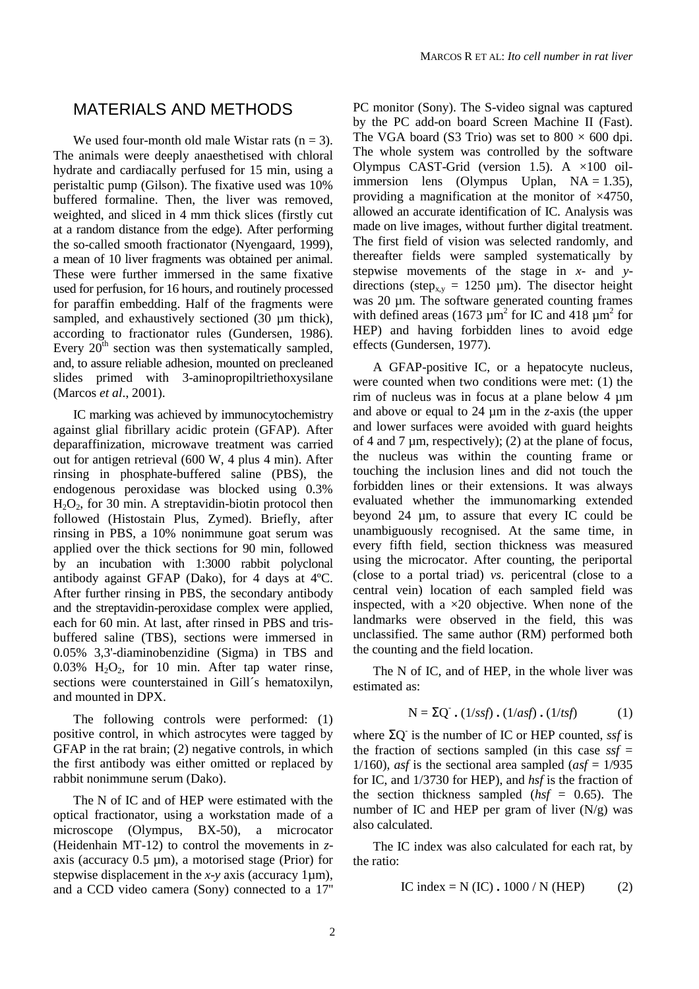#### MATERIALS AND METHODS

We used four-month old male Wistar rats  $(n = 3)$ . The animals were deeply anaesthetised with chloral hydrate and cardiacally perfused for 15 min, using a peristaltic pump (Gilson). The fixative used was 10% buffered formaline. Then, the liver was removed, weighted, and sliced in 4 mm thick slices (firstly cut at a random distance from the edge). After performing the so-called smooth fractionator (Nyengaard, 1999), a mean of 10 liver fragments was obtained per animal. These were further immersed in the same fixative used for perfusion, for 16 hours, and routinely processed for paraffin embedding. Half of the fragments were sampled, and exhaustively sectioned (30  $\mu$ m thick), according to fractionator rules (Gundersen, 1986). Every  $20<sup>th</sup>$  section was then systematically sampled, and, to assure reliable adhesion, mounted on precleaned slides primed with 3-aminopropiltriethoxysilane (Marcos *et al*., 2001).

IC marking was achieved by immunocytochemistry against glial fibrillary acidic protein (GFAP). After deparaffinization, microwave treatment was carried out for antigen retrieval (600 W, 4 plus 4 min). After rinsing in phosphate-buffered saline (PBS), the endogenous peroxidase was blocked using 0.3%  $H<sub>2</sub>O<sub>2</sub>$ , for 30 min. A streptavidin-biotin protocol then followed (Histostain Plus, Zymed). Briefly, after rinsing in PBS, a 10% nonimmune goat serum was applied over the thick sections for 90 min, followed by an incubation with 1:3000 rabbit polyclonal antibody against GFAP (Dako), for 4 days at 4ºC. After further rinsing in PBS, the secondary antibody and the streptavidin-peroxidase complex were applied, each for 60 min. At last, after rinsed in PBS and trisbuffered saline (TBS), sections were immersed in 0.05% 3,3'-diaminobenzidine (Sigma) in TBS and  $0.03\%$  H<sub>2</sub>O<sub>2</sub>, for 10 min. After tap water rinse, sections were counterstained in Gill´s hematoxilyn, and mounted in DPX.

The following controls were performed: (1) positive control, in which astrocytes were tagged by GFAP in the rat brain; (2) negative controls, in which the first antibody was either omitted or replaced by rabbit nonimmune serum (Dako).

The N of IC and of HEP were estimated with the optical fractionator, using a workstation made of a microscope (Olympus, BX-50), a microcator (Heidenhain MT-12) to control the movements in *z*axis (accuracy 0.5 µm), a motorised stage (Prior) for stepwise displacement in the *x*-*y* axis (accuracy 1µm), and a CCD video camera (Sony) connected to a 17''

PC monitor (Sony). The S-video signal was captured by the PC add-on board Screen Machine II (Fast). The VGA board (S3 Trio) was set to  $800 \times 600$  dpi. The whole system was controlled by the software Olympus CAST-Grid (version 1.5). A  $\times$ 100 oilimmersion lens (Olympus Uplan,  $NA = 1.35$ ), providing a magnification at the monitor of ×4750, allowed an accurate identification of IC. Analysis was made on live images, without further digital treatment. The first field of vision was selected randomly, and thereafter fields were sampled systematically by stepwise movements of the stage in *x*- and *y*directions (step<sub>x,y</sub> = 1250 µm). The disector height was 20  $\mu$ m. The software generated counting frames with defined areas (1673  $\mu$ m<sup>2</sup> for IC and 418  $\mu$ m<sup>2</sup> for HEP) and having forbidden lines to avoid edge effects (Gundersen, 1977).

A GFAP-positive IC, or a hepatocyte nucleus, were counted when two conditions were met: (1) the rim of nucleus was in focus at a plane below 4 µm and above or equal to 24 µm in the *z*-axis (the upper and lower surfaces were avoided with guard heights of 4 and 7  $\mu$ m, respectively); (2) at the plane of focus, the nucleus was within the counting frame or touching the inclusion lines and did not touch the forbidden lines or their extensions. It was always evaluated whether the immunomarking extended beyond 24 µm, to assure that every IC could be unambiguously recognised. At the same time, in every fifth field, section thickness was measured using the microcator. After counting, the periportal (close to a portal triad) *vs.* pericentral (close to a central vein) location of each sampled field was inspected, with a  $\times 20$  objective. When none of the landmarks were observed in the field, this was unclassified. The same author (RM) performed both the counting and the field location.

The N of IC, and of HEP, in the whole liver was estimated as:

$$
N = \Sigma Q^{*}. (1/ssf). (1/asf). (1/tsf)
$$
 (1)

where ΣQ- is the number of IC or HEP counted, *ssf* is the fraction of sections sampled (in this case  $s$ *sf* = 1/160), *asf* is the sectional area sampled  $(asf = 1/935)$ for IC, and 1/3730 for HEP), and *hsf* is the fraction of the section thickness sampled (*hsf* = 0.65). The number of IC and HEP per gram of liver  $(N/g)$  was also calculated.

The IC index was also calculated for each rat, by the ratio:

IC index = N (IC) **.** 1000 / N (HEP) (2)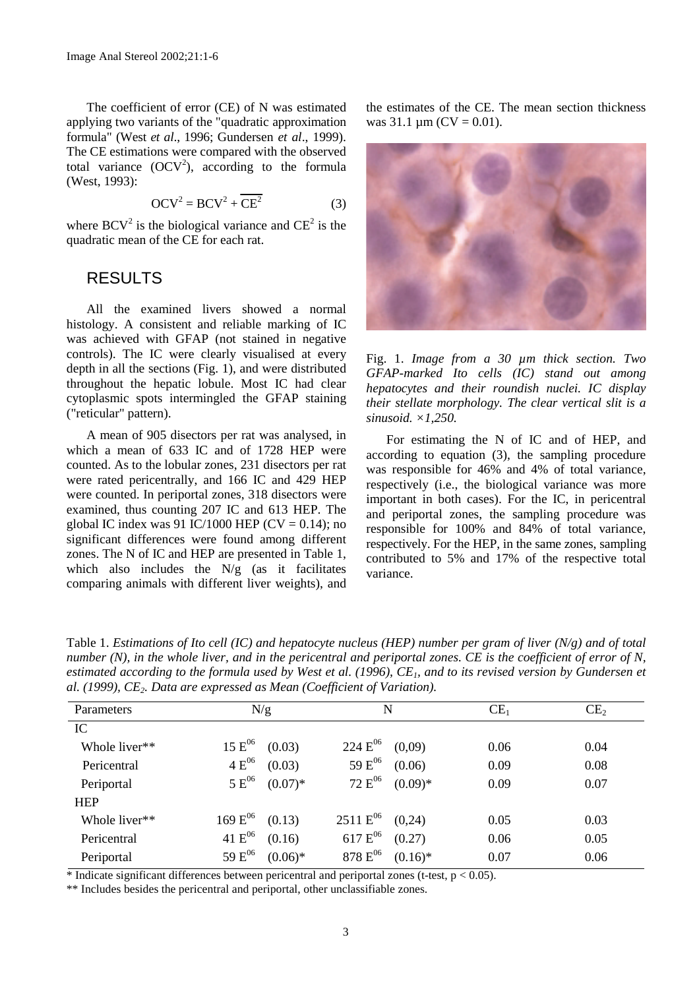The coefficient of error (CE) of N was estimated applying two variants of the "quadratic approximation formula" (West *et al*., 1996; Gundersen *et al*., 1999). The CE estimations were compared with the observed total variance  $(OCV^2)$ , according to the formula (West, 1993):

$$
OCV^2 = BCV^2 + \overline{CE^2}
$$
 (3)

where  $BCV^2$  is the biological variance and  $CE^2$  is the quadratic mean of the CE for each rat.

#### RESULTS

All the examined livers showed a normal histology. A consistent and reliable marking of IC was achieved with GFAP (not stained in negative controls). The IC were clearly visualised at every depth in all the sections (Fig. 1), and were distributed throughout the hepatic lobule. Most IC had clear cytoplasmic spots intermingled the GFAP staining ("reticular" pattern).

A mean of 905 disectors per rat was analysed, in which a mean of 633 IC and of 1728 HEP were counted. As to the lobular zones, 231 disectors per rat were rated pericentrally, and 166 IC and 429 HEP were counted. In periportal zones, 318 disectors were examined, thus counting 207 IC and 613 HEP. The global IC index was 91 IC/1000 HEP ( $CV = 0.14$ ); no significant differences were found among different zones. The N of IC and HEP are presented in Table 1, which also includes the  $N/g$  (as it facilitates comparing animals with different liver weights), and the estimates of the CE. The mean section thickness was  $31.1 \,\mathrm{\mu m}$  (CV = 0.01).



Fig. 1. *Image from a 30 µm thick section. Two GFAP-marked Ito cells (IC) stand out among hepatocytes and their roundish nuclei. IC display their stellate morphology. The clear vertical slit is a sinusoid. ×1,250.*

For estimating the N of IC and of HEP, and according to equation (3), the sampling procedure was responsible for 46% and 4% of total variance, respectively (i.e., the biological variance was more important in both cases). For the IC, in pericentral and periportal zones, the sampling procedure was responsible for 100% and 84% of total variance, respectively. For the HEP, in the same zones, sampling contributed to 5% and 17% of the respective total variance.

Table 1. *Estimations of Ito cell (IC) and hepatocyte nucleus (HEP) number per gram of liver (N/g) and of total number (N), in the whole liver, and in the pericentral and periportal zones. CE is the coefficient of error of N, estimated according to the formula used by West et al. (1996), CE<sub>1</sub>, and to its revised version by Gundersen et al. (1999), CE2. Data are expressed as Mean (Coefficient of Variation).*

| Parameters    | N/g                |            | N                  |            | CE <sub>1</sub> | CE <sub>2</sub> |
|---------------|--------------------|------------|--------------------|------------|-----------------|-----------------|
| IC            |                    |            |                    |            |                 |                 |
| Whole liver** | $15 E^{06}$        | (0.03)     | $224 E^{06}$       | (0,09)     | 0.06            | 0.04            |
| Pericentral   | $4 E^{06}$         | (0.03)     | 59 E <sup>06</sup> | (0.06)     | 0.09            | 0.08            |
| Periportal    | $5 E^{06}$         | $(0.07)$ * | $72 E^{06}$        | $(0.09)*$  | 0.09            | 0.07            |
| <b>HEP</b>    |                    |            |                    |            |                 |                 |
| Whole liver** | $169 E^{06}$       | (0.13)     | $2511 E^{06}$      | (0,24)     | 0.05            | 0.03            |
| Pericentral   | 41 $E^{06}$        | (0.16)     | $617 E^{06}$       | (0.27)     | 0.06            | 0.05            |
| Periportal    | 59 E <sup>06</sup> | $(0.06)*$  | $878 E^{06}$       | $(0.16)$ * | 0.07            | 0.06            |

\* Indicate significant differences between pericentral and periportal zones (t-test,  $p < 0.05$ ).

\*\* Includes besides the pericentral and periportal, other unclassifiable zones.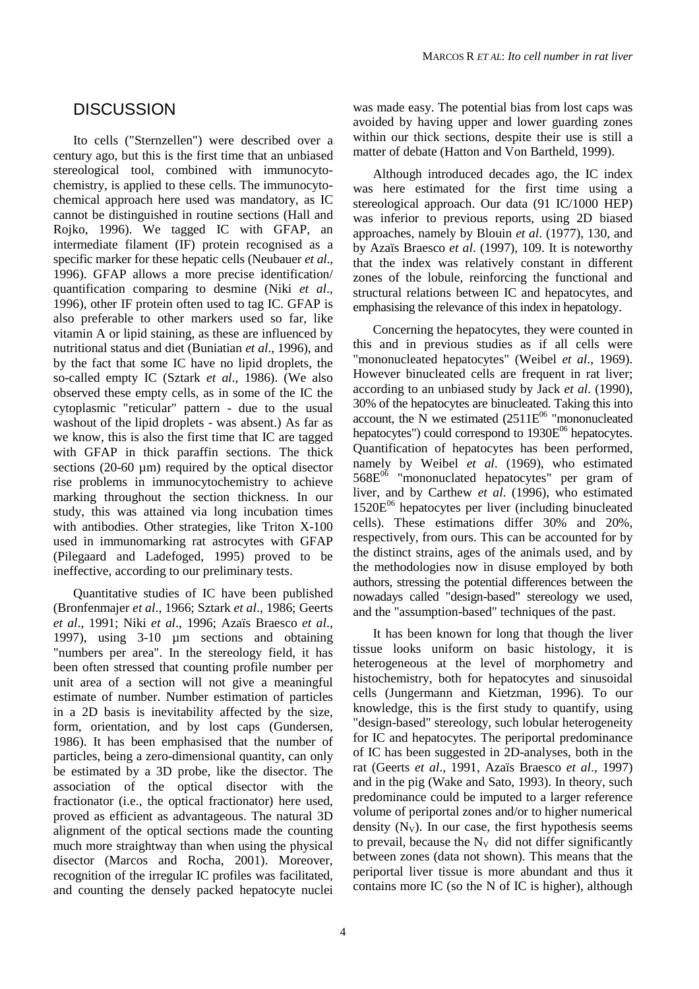## **DISCUSSION**

Ito cells ("Sternzellen") were described over a century ago, but this is the first time that an unbiased stereological tool, combined with immunocytochemistry, is applied to these cells. The immunocytochemical approach here used was mandatory, as IC cannot be distinguished in routine sections (Hall and Rojko, 1996). We tagged IC with GFAP, an intermediate filament (IF) protein recognised as a specific marker for these hepatic cells (Neubauer *et al*., 1996). GFAP allows a more precise identification/ quantification comparing to desmine (Niki *et al*., 1996), other IF protein often used to tag IC. GFAP is also preferable to other markers used so far, like vitamin A or lipid staining, as these are influenced by nutritional status and diet (Buniatian *et al*., 1996), and by the fact that some IC have no lipid droplets, the so-called empty IC (Sztark *et al*., 1986). (We also observed these empty cells, as in some of the IC the cytoplasmic "reticular" pattern - due to the usual washout of the lipid droplets - was absent.) As far as we know, this is also the first time that IC are tagged with GFAP in thick paraffin sections. The thick sections  $(20-60 \mu m)$  required by the optical disector rise problems in immunocytochemistry to achieve marking throughout the section thickness. In our study, this was attained via long incubation times with antibodies. Other strategies, like Triton X-100 used in immunomarking rat astrocytes with GFAP (Pilegaard and Ladefoged, 1995) proved to be ineffective, according to our preliminary tests.

Quantitative studies of IC have been published (Bronfenmajer *et al*., 1966; Sztark *et al*., 1986; Geerts *et al*., 1991; Niki *et al*., 1996; Azaïs Braesco *et al*., 1997), using 3-10 µm sections and obtaining "numbers per area". In the stereology field, it has been often stressed that counting profile number per unit area of a section will not give a meaningful estimate of number. Number estimation of particles in a 2D basis is inevitability affected by the size, form, orientation, and by lost caps (Gundersen, 1986). It has been emphasised that the number of particles, being a zero-dimensional quantity, can only be estimated by a 3D probe, like the disector. The association of the optical disector with the fractionator (i.e., the optical fractionator) here used, proved as efficient as advantageous. The natural 3D alignment of the optical sections made the counting much more straightway than when using the physical disector (Marcos and Rocha, 2001). Moreover, recognition of the irregular IC profiles was facilitated, and counting the densely packed hepatocyte nuclei

was made easy. The potential bias from lost caps was avoided by having upper and lower guarding zones within our thick sections, despite their use is still a matter of debate (Hatton and Von Bartheld, 1999).

Although introduced decades ago, the IC index was here estimated for the first time using a stereological approach. Our data (91 IC/1000 HEP) was inferior to previous reports, using 2D biased approaches, namely by Blouin *et al*. (1977), 130, and by Azaïs Braesco *et al*. (1997), 109. It is noteworthy that the index was relatively constant in different zones of the lobule, reinforcing the functional and structural relations between IC and hepatocytes, and emphasising the relevance of this index in hepatology.

Concerning the hepatocytes, they were counted in this and in previous studies as if all cells were "mononucleated hepatocytes" (Weibel *et al*., 1969). However binucleated cells are frequent in rat liver; according to an unbiased study by Jack *et al*. (1990), 30% of the hepatocytes are binucleated. Taking this into account, the  $\hat{N}$  we estimated (2511E<sup>06</sup> "mononucleated hepatocytes") could correspond to  $1930E^{06}$  hepatocytes. Quantification of hepatocytes has been performed, namely by Weibel *et al*. (1969), who estimated  $568E^{06}$  "mononuclated hepatocytes" per gram of liver, and by Carthew *et al*. (1996), who estimated  $1520E^{06}$  hepatocytes per liver (including binucleated cells). These estimations differ 30% and 20%, respectively, from ours. This can be accounted for by the distinct strains, ages of the animals used, and by the methodologies now in disuse employed by both authors, stressing the potential differences between the nowadays called "design-based" stereology we used, and the "assumption-based" techniques of the past.

It has been known for long that though the liver tissue looks uniform on basic histology, it is heterogeneous at the level of morphometry and histochemistry, both for hepatocytes and sinusoidal cells (Jungermann and Kietzman, 1996). To our knowledge, this is the first study to quantify, using "design-based" stereology, such lobular heterogeneity for IC and hepatocytes. The periportal predominance of IC has been suggested in 2D-analyses, both in the rat (Geerts *et al*., 1991, Azaïs Braesco *et al*., 1997) and in the pig (Wake and Sato, 1993). In theory, such predominance could be imputed to a larger reference volume of periportal zones and/or to higher numerical density  $(N_V)$ . In our case, the first hypothesis seems to prevail, because the  $N_v$  did not differ significantly between zones (data not shown). This means that the periportal liver tissue is more abundant and thus it contains more IC (so the N of IC is higher), although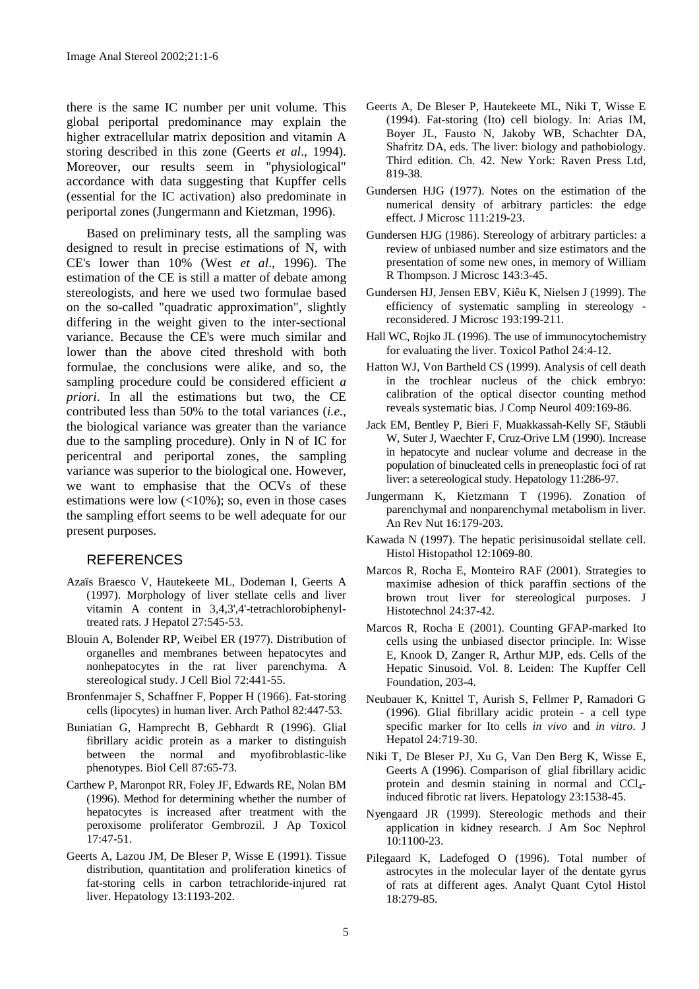there is the same IC number per unit volume. This global periportal predominance may explain the higher extracellular matrix deposition and vitamin A storing described in this zone (Geerts *et al*., 1994). Moreover, our results seem in "physiological" accordance with data suggesting that Kupffer cells (essential for the IC activation) also predominate in periportal zones (Jungermann and Kietzman, 1996).

Based on preliminary tests, all the sampling was designed to result in precise estimations of N, with CE's lower than 10% (West *et al*., 1996). The estimation of the CE is still a matter of debate among stereologists, and here we used two formulae based on the so-called "quadratic approximation", slightly differing in the weight given to the inter-sectional variance. Because the CE's were much similar and lower than the above cited threshold with both formulae, the conclusions were alike, and so, the sampling procedure could be considered efficient *a priori*. In all the estimations but two, the CE contributed less than 50% to the total variances (*i.e.*, the biological variance was greater than the variance due to the sampling procedure). Only in N of IC for pericentral and periportal zones, the sampling variance was superior to the biological one. However, we want to emphasise that the OCVs of these estimations were low  $\left($ <10%); so, even in those cases the sampling effort seems to be well adequate for our present purposes.

#### **REFERENCES**

- Azaïs Braesco V, Hautekeete ML, Dodeman I, Geerts A (1997). Morphology of liver stellate cells and liver vitamin A content in 3,4,3',4'-tetrachlorobiphenyltreated rats. J Hepatol 27:545-53.
- Blouin A, Bolender RP, Weibel ER (1977). Distribution of organelles and membranes between hepatocytes and nonhepatocytes in the rat liver parenchyma. A stereological study. J Cell Biol 72:441-55.
- Bronfenmajer S, Schaffner F, Popper H (1966). Fat-storing cells (lipocytes) in human liver. Arch Pathol 82:447-53.
- Buniatian G, Hamprecht B, Gebhardt R (1996). Glial fibrillary acidic protein as a marker to distinguish between the normal and myofibroblastic-like phenotypes. Biol Cell 87:65-73.
- Carthew P, Maronpot RR, Foley JF, Edwards RE, Nolan BM (1996). Method for determining whether the number of hepatocytes is increased after treatment with the peroxisome proliferator Gembrozil. J Ap Toxicol 17:47-51.
- Geerts A, Lazou JM, De Bleser P, Wisse E (1991). Tissue distribution, quantitation and proliferation kinetics of fat-storing cells in carbon tetrachloride-injured rat liver. Hepatology 13:1193-202.
- Geerts A, De Bleser P, Hautekeete ML, Niki T, Wisse E (1994). Fat-storing (Ito) cell biology. In: Arias IM, Boyer JL, Fausto N, Jakoby WB, Schachter DA, Shafritz DA, eds. The liver: biology and pathobiology. Third edition. Ch. 42. New York: Raven Press Ltd, 819-38.
- Gundersen HJG (1977). Notes on the estimation of the numerical density of arbitrary particles: the edge effect. J Microsc 111:219-23.
- Gundersen HJG (1986). Stereology of arbitrary particles: a review of unbiased number and size estimators and the presentation of some new ones, in memory of William R Thompson. J Microsc 143:3-45.
- Gundersen HJ, Jensen EBV, Kiêu K, Nielsen J (1999). The efficiency of systematic sampling in stereology reconsidered. J Microsc 193:199-211.
- Hall WC, Rojko JL (1996). The use of immunocytochemistry for evaluating the liver. Toxicol Pathol 24:4-12.
- Hatton WJ, Von Bartheld CS (1999). Analysis of cell death in the trochlear nucleus of the chick embryo: calibration of the optical disector counting method reveals systematic bias. J Comp Neurol 409:169-86.
- Jack EM, Bentley P, Bieri F, Muakkassah-Kelly SF, Stäubli W, Suter J, Waechter F, Cruz-Orive LM (1990). Increase in hepatocyte and nuclear volume and decrease in the population of binucleated cells in preneoplastic foci of rat liver: a setereological study. Hepatology 11:286-97.
- Jungermann K, Kietzmann T (1996). Zonation of parenchymal and nonparenchymal metabolism in liver. An Rev Nut 16:179-203.
- Kawada N (1997). The hepatic perisinusoidal stellate cell. Histol Histopathol 12:1069-80.
- Marcos R, Rocha E, Monteiro RAF (2001). Strategies to maximise adhesion of thick paraffin sections of the brown trout liver for stereological purposes. J Histotechnol 24:37-42.
- Marcos R, Rocha E (2001). Counting GFAP-marked Ito cells using the unbiased disector principle. In: Wisse E, Knook D, Zanger R, Arthur MJP, eds. Cells of the Hepatic Sinusoid. Vol. 8. Leiden: The Kupffer Cell Foundation, 203-4.
- Neubauer K, Knittel T, Aurish S, Fellmer P, Ramadori G (1996). Glial fibrillary acidic protein - a cell type specific marker for Ito cells *in vivo* and *in vitro*. J Hepatol 24:719-30.
- Niki T, De Bleser PJ, Xu G, Van Den Berg K, Wisse E, Geerts A (1996). Comparison of glial fibrillary acidic protein and desmin staining in normal and  $CCl<sub>4</sub>$ induced fibrotic rat livers. Hepatology 23:1538-45.
- Nyengaard JR (1999). Stereologic methods and their application in kidney research. J Am Soc Nephrol 10:1100-23.
- Pilegaard K, Ladefoged O (1996). Total number of astrocytes in the molecular layer of the dentate gyrus of rats at different ages. Analyt Quant Cytol Histol 18:279-85.